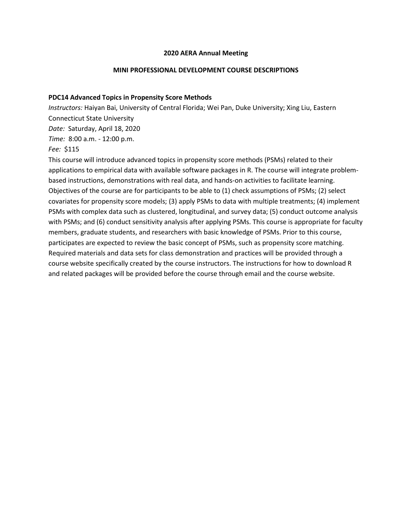## **2020 AERA Annual Meeting**

## **MINI PROFESSIONAL DEVELOPMENT COURSE DESCRIPTIONS**

### **PDC14 Advanced Topics in Propensity Score Methods**

*Instructors:* Haiyan Bai, University of Central Florida; Wei Pan, Duke University; Xing Liu, Eastern Connecticut State University

*Date:* Saturday, April 18, 2020

*Time:* 8:00 a.m. - 12:00 p.m.

# *Fee:* \$115

This course will introduce advanced topics in propensity score methods (PSMs) related to their applications to empirical data with available software packages in R. The course will integrate problembased instructions, demonstrations with real data, and hands-on activities to facilitate learning. Objectives of the course are for participants to be able to (1) check assumptions of PSMs; (2) select covariates for propensity score models; (3) apply PSMs to data with multiple treatments; (4) implement PSMs with complex data such as clustered, longitudinal, and survey data; (5) conduct outcome analysis with PSMs; and (6) conduct sensitivity analysis after applying PSMs. This course is appropriate for faculty members, graduate students, and researchers with basic knowledge of PSMs. Prior to this course, participates are expected to review the basic concept of PSMs, such as propensity score matching. Required materials and data sets for class demonstration and practices will be provided through a course website specifically created by the course instructors. The instructions for how to download R and related packages will be provided before the course through email and the course website.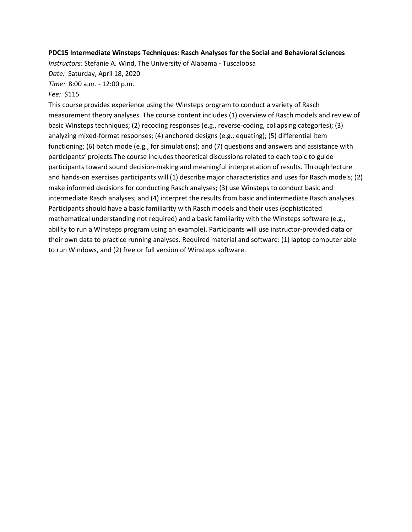### **PDC15 Intermediate Winsteps Techniques: Rasch Analyses for the Social and Behavioral Sciences**

*Instructors:* Stefanie A. Wind, The University of Alabama - Tuscaloosa

*Date:* Saturday, April 18, 2020

*Time:* 8:00 a.m. - 12:00 p.m.

# *Fee:* \$115

This course provides experience using the Winsteps program to conduct a variety of Rasch measurement theory analyses. The course content includes (1) overview of Rasch models and review of basic Winsteps techniques; (2) recoding responses (e.g., reverse-coding, collapsing categories); (3) analyzing mixed-format responses; (4) anchored designs (e.g., equating); (5) differential item functioning; (6) batch mode (e.g., for simulations); and (7) questions and answers and assistance with participants' projects.The course includes theoretical discussions related to each topic to guide participants toward sound decision-making and meaningful interpretation of results. Through lecture and hands-on exercises participants will (1) describe major characteristics and uses for Rasch models; (2) make informed decisions for conducting Rasch analyses; (3) use Winsteps to conduct basic and intermediate Rasch analyses; and (4) interpret the results from basic and intermediate Rasch analyses. Participants should have a basic familiarity with Rasch models and their uses (sophisticated mathematical understanding not required) and a basic familiarity with the Winsteps software (e.g., ability to run a Winsteps program using an example). Participants will use instructor-provided data or their own data to practice running analyses. Required material and software: (1) laptop computer able to run Windows, and (2) free or full version of Winsteps software.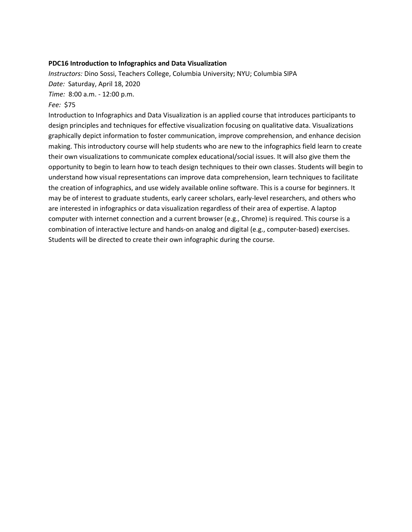### **PDC16 Introduction to Infographics and Data Visualization**

*Instructors:* Dino Sossi, Teachers College, Columbia University; NYU; Columbia SIPA *Date:* Saturday, April 18, 2020 *Time:* 8:00 a.m. - 12:00 p.m.

### *Fee:* \$75

Introduction to Infographics and Data Visualization is an applied course that introduces participants to design principles and techniques for effective visualization focusing on qualitative data. Visualizations graphically depict information to foster communication, improve comprehension, and enhance decision making. This introductory course will help students who are new to the infographics field learn to create their own visualizations to communicate complex educational/social issues. It will also give them the opportunity to begin to learn how to teach design techniques to their own classes. Students will begin to understand how visual representations can improve data comprehension, learn techniques to facilitate the creation of infographics, and use widely available online software. This is a course for beginners. It may be of interest to graduate students, early career scholars, early-level researchers, and others who are interested in infographics or data visualization regardless of their area of expertise. A laptop computer with internet connection and a current browser (e.g., Chrome) is required. This course is a combination of interactive lecture and hands-on analog and digital (e.g., computer-based) exercises. Students will be directed to create their own infographic during the course.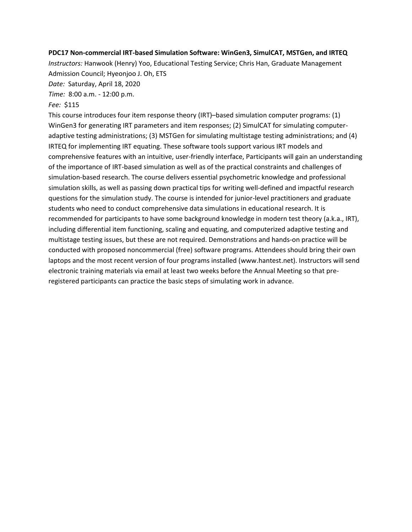# **PDC17 Non-commercial IRT-based Simulation Software: WinGen3, SimulCAT, MSTGen, and IRTEQ**

*Instructors:* Hanwook (Henry) Yoo, Educational Testing Service; Chris Han, Graduate Management Admission Council; Hyeonjoo J. Oh, ETS

*Date:* Saturday, April 18, 2020

*Time:* 8:00 a.m. - 12:00 p.m.

# *Fee:* \$115

This course introduces four item response theory (IRT)–based simulation computer programs: (1) WinGen3 for generating IRT parameters and item responses; (2) SimulCAT for simulating computeradaptive testing administrations; (3) MSTGen for simulating multistage testing administrations; and (4) IRTEQ for implementing IRT equating. These software tools support various IRT models and comprehensive features with an intuitive, user-friendly interface, Participants will gain an understanding of the importance of IRT-based simulation as well as of the practical constraints and challenges of simulation-based research. The course delivers essential psychometric knowledge and professional simulation skills, as well as passing down practical tips for writing well-defined and impactful research questions for the simulation study. The course is intended for junior-level practitioners and graduate students who need to conduct comprehensive data simulations in educational research. It is recommended for participants to have some background knowledge in modern test theory (a.k.a., IRT), including differential item functioning, scaling and equating, and computerized adaptive testing and multistage testing issues, but these are not required. Demonstrations and hands-on practice will be conducted with proposed noncommercial (free) software programs. Attendees should bring their own laptops and the most recent version of four programs installed (www.hantest.net). Instructors will send electronic training materials via email at least two weeks before the Annual Meeting so that preregistered participants can practice the basic steps of simulating work in advance.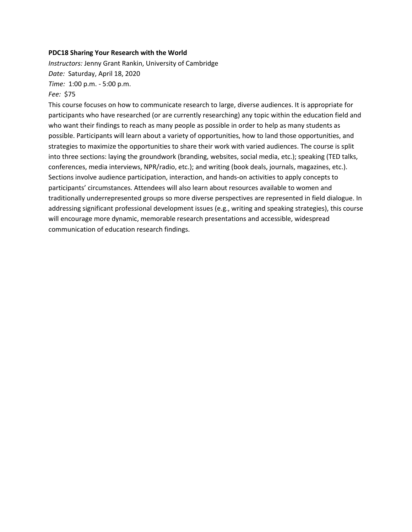### **PDC18 Sharing Your Research with the World**

*Instructors:* Jenny Grant Rankin, University of Cambridge *Date:* Saturday, April 18, 2020 *Time:* 1:00 p.m. - 5:00 p.m.

## *Fee:* \$75

This course focuses on how to communicate research to large, diverse audiences. It is appropriate for participants who have researched (or are currently researching) any topic within the education field and who want their findings to reach as many people as possible in order to help as many students as possible. Participants will learn about a variety of opportunities, how to land those opportunities, and strategies to maximize the opportunities to share their work with varied audiences. The course is split into three sections: laying the groundwork (branding, websites, social media, etc.); speaking (TED talks, conferences, media interviews, NPR/radio, etc.); and writing (book deals, journals, magazines, etc.). Sections involve audience participation, interaction, and hands-on activities to apply concepts to participants' circumstances. Attendees will also learn about resources available to women and traditionally underrepresented groups so more diverse perspectives are represented in field dialogue. In addressing significant professional development issues (e.g., writing and speaking strategies), this course will encourage more dynamic, memorable research presentations and accessible, widespread communication of education research findings.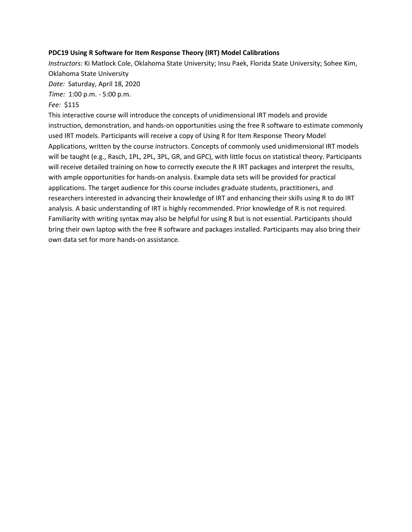## **PDC19 Using R Software for Item Response Theory (IRT) Model Calibrations**

*Instructors:* Ki Matlock Cole, Oklahoma State University; Insu Paek, Florida State University; Sohee Kim, Oklahoma State University

*Date:* Saturday, April 18, 2020

*Time:* 1:00 p.m. - 5:00 p.m.

## *Fee:* \$115

This interactive course will introduce the concepts of unidimensional IRT models and provide instruction, demonstration, and hands-on opportunities using the free R software to estimate commonly used IRT models. Participants will receive a copy of Using R for Item Response Theory Model Applications, written by the course instructors. Concepts of commonly used unidimensional IRT models will be taught (e.g., Rasch, 1PL, 2PL, 3PL, GR, and GPC), with little focus on statistical theory. Participants will receive detailed training on how to correctly execute the R IRT packages and interpret the results, with ample opportunities for hands-on analysis. Example data sets will be provided for practical applications. The target audience for this course includes graduate students, practitioners, and researchers interested in advancing their knowledge of IRT and enhancing their skills using R to do IRT analysis. A basic understanding of IRT is highly recommended. Prior knowledge of R is not required. Familiarity with writing syntax may also be helpful for using R but is not essential. Participants should bring their own laptop with the free R software and packages installed. Participants may also bring their own data set for more hands-on assistance.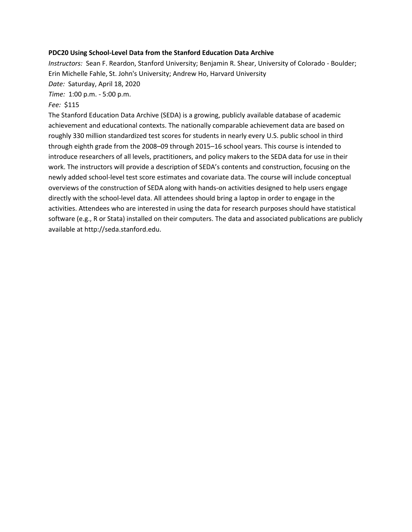### **PDC20 Using School-Level Data from the Stanford Education Data Archive**

*Instructors:* Sean F. Reardon, Stanford University; Benjamin R. Shear, University of Colorado - Boulder; Erin Michelle Fahle, St. John's University; Andrew Ho, Harvard University *Date:* Saturday, April 18, 2020

*Time:* 1:00 p.m. - 5:00 p.m.

# *Fee:* \$115

The Stanford Education Data Archive (SEDA) is a growing, publicly available database of academic achievement and educational contexts. The nationally comparable achievement data are based on roughly 330 million standardized test scores for students in nearly every U.S. public school in third through eighth grade from the 2008–09 through 2015–16 school years. This course is intended to introduce researchers of all levels, practitioners, and policy makers to the SEDA data for use in their work. The instructors will provide a description of SEDA's contents and construction, focusing on the newly added school-level test score estimates and covariate data. The course will include conceptual overviews of the construction of SEDA along with hands-on activities designed to help users engage directly with the school-level data. All attendees should bring a laptop in order to engage in the activities. Attendees who are interested in using the data for research purposes should have statistical software (e.g., R or Stata) installed on their computers. The data and associated publications are publicly available at http://seda.stanford.edu.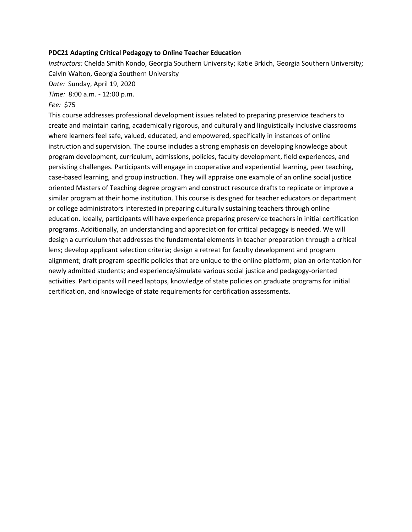### **PDC21 Adapting Critical Pedagogy to Online Teacher Education**

*Instructors:* Chelda Smith Kondo, Georgia Southern University; Katie Brkich, Georgia Southern University; Calvin Walton, Georgia Southern University *Date:* Sunday, April 19, 2020

*Time:* 8:00 a.m. - 12:00 p.m.

# *Fee:* \$75

This course addresses professional development issues related to preparing preservice teachers to create and maintain caring, academically rigorous, and culturally and linguistically inclusive classrooms where learners feel safe, valued, educated, and empowered, specifically in instances of online instruction and supervision. The course includes a strong emphasis on developing knowledge about program development, curriculum, admissions, policies, faculty development, field experiences, and persisting challenges. Participants will engage in cooperative and experiential learning, peer teaching, case-based learning, and group instruction. They will appraise one example of an online social justice oriented Masters of Teaching degree program and construct resource drafts to replicate or improve a similar program at their home institution. This course is designed for teacher educators or department or college administrators interested in preparing culturally sustaining teachers through online education. Ideally, participants will have experience preparing preservice teachers in initial certification programs. Additionally, an understanding and appreciation for critical pedagogy is needed. We will design a curriculum that addresses the fundamental elements in teacher preparation through a critical lens; develop applicant selection criteria; design a retreat for faculty development and program alignment; draft program-specific policies that are unique to the online platform; plan an orientation for newly admitted students; and experience/simulate various social justice and pedagogy-oriented activities. Participants will need laptops, knowledge of state policies on graduate programs for initial certification, and knowledge of state requirements for certification assessments.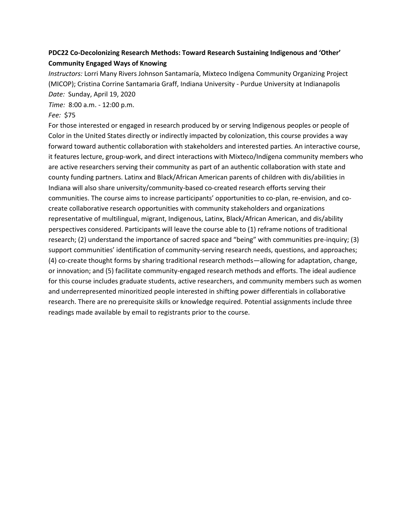# **PDC22 Co-Decolonizing Research Methods: Toward Research Sustaining Indigenous and 'Other' Community Engaged Ways of Knowing**

*Instructors:* Lorri Many Rivers Johnson Santamaría, Mixteco Indígena Community Organizing Project (MICOP); Cristina Corrine Santamaria Graff, Indiana University - Purdue University at Indianapolis *Date:* Sunday, April 19, 2020

*Time:* 8:00 a.m. - 12:00 p.m.

# *Fee:* \$75

For those interested or engaged in research produced by or serving Indigenous peoples or people of Color in the United States directly or indirectly impacted by colonization, this course provides a way forward toward authentic collaboration with stakeholders and interested parties. An interactive course, it features lecture, group-work, and direct interactions with Mixteco/Indígena community members who are active researchers serving their community as part of an authentic collaboration with state and county funding partners. Latinx and Black/African American parents of children with dis/abilities in Indiana will also share university/community-based co-created research efforts serving their communities. The course aims to increase participants' opportunities to co-plan, re-envision, and cocreate collaborative research opportunities with community stakeholders and organizations representative of multilingual, migrant, Indigenous, Latinx, Black/African American, and dis/ability perspectives considered. Participants will leave the course able to (1) reframe notions of traditional research; (2) understand the importance of sacred space and "being" with communities pre-inquiry; (3) support communities' identification of community-serving research needs, questions, and approaches; (4) co-create thought forms by sharing traditional research methods—allowing for adaptation, change, or innovation; and (5) facilitate community-engaged research methods and efforts. The ideal audience for this course includes graduate students, active researchers, and community members such as women and underrepresented minoritized people interested in shifting power differentials in collaborative research. There are no prerequisite skills or knowledge required. Potential assignments include three readings made available by email to registrants prior to the course.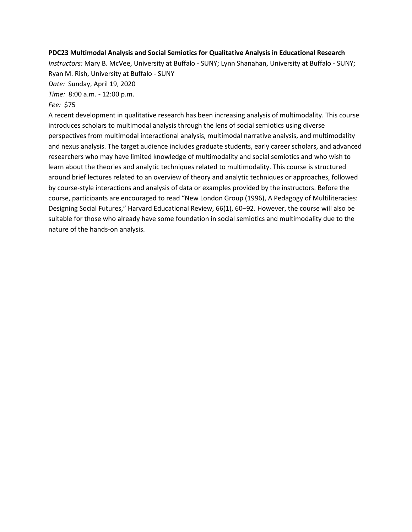## **PDC23 Multimodal Analysis and Social Semiotics for Qualitative Analysis in Educational Research**

*Instructors:* Mary B. McVee, University at Buffalo - SUNY; Lynn Shanahan, University at Buffalo - SUNY; Ryan M. Rish, University at Buffalo - SUNY

*Date:* Sunday, April 19, 2020

*Time:* 8:00 a.m. - 12:00 p.m.

# *Fee:* \$75

A recent development in qualitative research has been increasing analysis of multimodality. This course introduces scholars to multimodal analysis through the lens of social semiotics using diverse perspectives from multimodal interactional analysis, multimodal narrative analysis, and multimodality and nexus analysis. The target audience includes graduate students, early career scholars, and advanced researchers who may have limited knowledge of multimodality and social semiotics and who wish to learn about the theories and analytic techniques related to multimodality. This course is structured around brief lectures related to an overview of theory and analytic techniques or approaches, followed by course-style interactions and analysis of data or examples provided by the instructors. Before the course, participants are encouraged to read "New London Group (1996), A Pedagogy of Multiliteracies: Designing Social Futures," Harvard Educational Review, 66(1), 60–92. However, the course will also be suitable for those who already have some foundation in social semiotics and multimodality due to the nature of the hands-on analysis.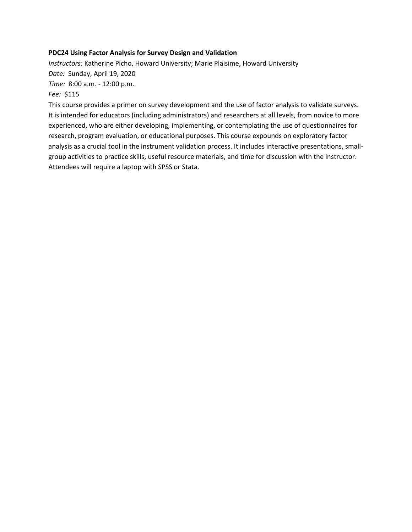# **PDC24 Using Factor Analysis for Survey Design and Validation**

*Instructors:* Katherine Picho, Howard University; Marie Plaisime, Howard University *Date:* Sunday, April 19, 2020 *Time:* 8:00 a.m. - 12:00 p.m.

*Fee:* \$115

This course provides a primer on survey development and the use of factor analysis to validate surveys. It is intended for educators (including administrators) and researchers at all levels, from novice to more experienced, who are either developing, implementing, or contemplating the use of questionnaires for research, program evaluation, or educational purposes. This course expounds on exploratory factor analysis as a crucial tool in the instrument validation process. It includes interactive presentations, smallgroup activities to practice skills, useful resource materials, and time for discussion with the instructor. Attendees will require a laptop with SPSS or Stata.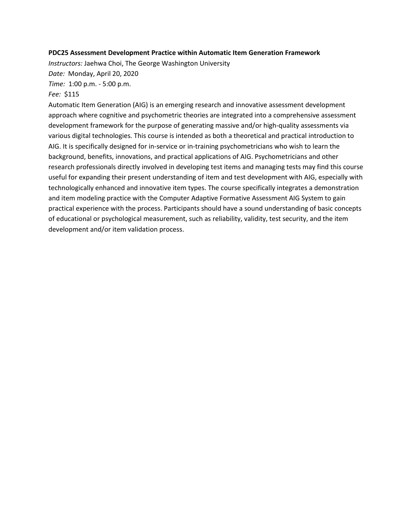### **PDC25 Assessment Development Practice within Automatic Item Generation Framework**

*Instructors:* Jaehwa Choi, The George Washington University

*Date:* Monday, April 20, 2020

*Time:* 1:00 p.m. - 5:00 p.m.

# *Fee:* \$115

Automatic Item Generation (AIG) is an emerging research and innovative assessment development approach where cognitive and psychometric theories are integrated into a comprehensive assessment development framework for the purpose of generating massive and/or high-quality assessments via various digital technologies. This course is intended as both a theoretical and practical introduction to AIG. It is specifically designed for in-service or in-training psychometricians who wish to learn the background, benefits, innovations, and practical applications of AIG. Psychometricians and other research professionals directly involved in developing test items and managing tests may find this course useful for expanding their present understanding of item and test development with AIG, especially with technologically enhanced and innovative item types. The course specifically integrates a demonstration and item modeling practice with the Computer Adaptive Formative Assessment AIG System to gain practical experience with the process. Participants should have a sound understanding of basic concepts of educational or psychological measurement, such as reliability, validity, test security, and the item development and/or item validation process.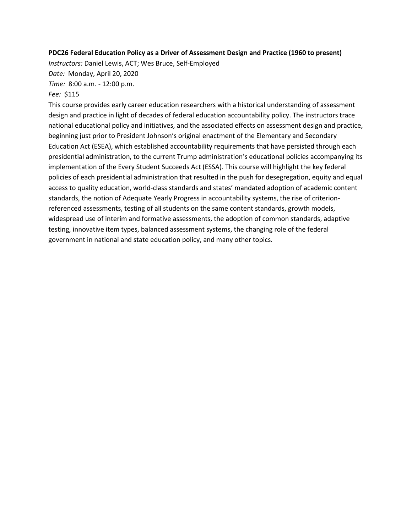### **PDC26 Federal Education Policy as a Driver of Assessment Design and Practice (1960 to present)**

*Instructors:* Daniel Lewis, ACT; Wes Bruce, Self-Employed *Date:* Monday, April 20, 2020

*Time:* 8:00 a.m. - 12:00 p.m.

## *Fee:* \$115

This course provides early career education researchers with a historical understanding of assessment design and practice in light of decades of federal education accountability policy. The instructors trace national educational policy and initiatives, and the associated effects on assessment design and practice, beginning just prior to President Johnson's original enactment of the Elementary and Secondary Education Act (ESEA), which established accountability requirements that have persisted through each presidential administration, to the current Trump administration's educational policies accompanying its implementation of the Every Student Succeeds Act (ESSA). This course will highlight the key federal policies of each presidential administration that resulted in the push for desegregation, equity and equal access to quality education, world-class standards and states' mandated adoption of academic content standards, the notion of Adequate Yearly Progress in accountability systems, the rise of criterionreferenced assessments, testing of all students on the same content standards, growth models, widespread use of interim and formative assessments, the adoption of common standards, adaptive testing, innovative item types, balanced assessment systems, the changing role of the federal government in national and state education policy, and many other topics.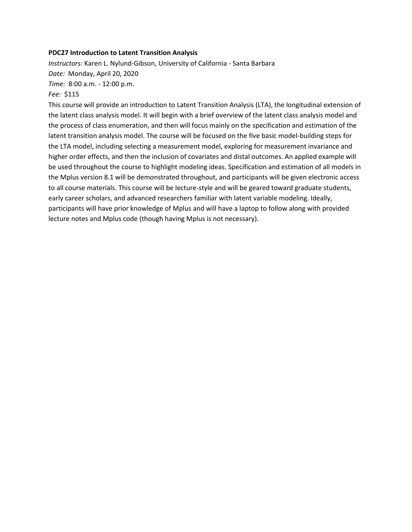### **PDC27 Introduction to Latent Transition Analysis**

*Instructors:* Karen L. Nylund-Gibson, University of California - Santa Barbara *Date:* Monday, April 20, 2020 *Time:* 8:00 a.m. - 12:00 p.m.

### *Fee:* \$115

This course will provide an introduction to Latent Transition Analysis (LTA), the longitudinal extension of the latent class analysis model. It will begin with a brief overview of the latent class analysis model and the process of class enumeration, and then will focus mainly on the specification and estimation of the latent transition analysis model. The course will be focused on the five basic model-building steps for the LTA model, including selecting a measurement model, exploring for measurement invariance and higher order effects, and then the inclusion of covariates and distal outcomes. An applied example will be used throughout the course to highlight modeling ideas. Specification and estimation of all models in the Mplus version 8.1 will be demonstrated throughout, and participants will be given electronic access to all course materials. This course will be lecture-style and will be geared toward graduate students, early career scholars, and advanced researchers familiar with latent variable modeling. Ideally, participants will have prior knowledge of Mplus and will have a laptop to follow along with provided lecture notes and Mplus code (though having Mplus is not necessary).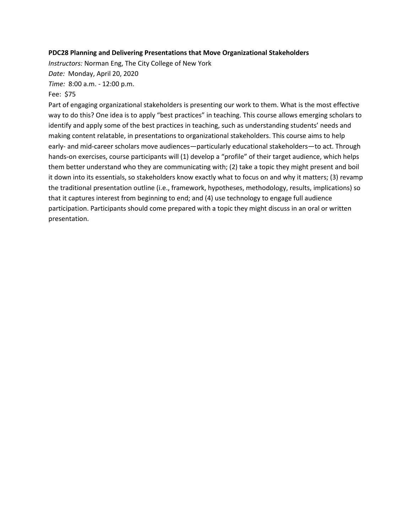# **PDC28 Planning and Delivering Presentations that Move Organizational Stakeholders**

*Instructors:* Norman Eng, The City College of New York *Date:* Monday, April 20, 2020

*Time:* 8:00 a.m. - 12:00 p.m.

# Fee: \$75

Part of engaging organizational stakeholders is presenting our work to them. What is the most effective way to do this? One idea is to apply "best practices" in teaching. This course allows emerging scholars to identify and apply some of the best practices in teaching, such as understanding students' needs and making content relatable, in presentations to organizational stakeholders. This course aims to help early- and mid-career scholars move audiences—particularly educational stakeholders—to act. Through hands-on exercises, course participants will (1) develop a "profile" of their target audience, which helps them better understand who they are communicating with; (2) take a topic they might present and boil it down into its essentials, so stakeholders know exactly what to focus on and why it matters; (3) revamp the traditional presentation outline (i.e., framework, hypotheses, methodology, results, implications) so that it captures interest from beginning to end; and (4) use technology to engage full audience participation. Participants should come prepared with a topic they might discuss in an oral or written presentation.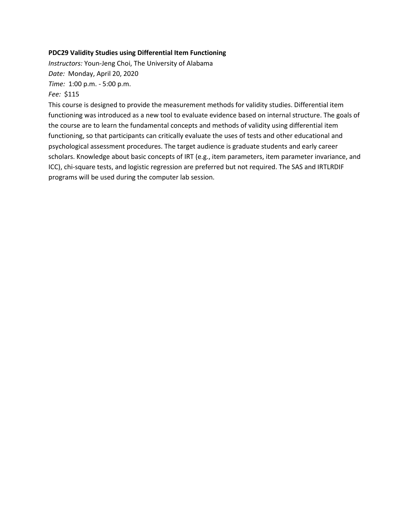# **PDC29 Validity Studies using Differential Item Functioning**

*Instructors:* Youn-Jeng Choi, The University of Alabama *Date:* Monday, April 20, 2020 *Time:* 1:00 p.m. - 5:00 p.m.

## *Fee:* \$115

This course is designed to provide the measurement methods for validity studies. Differential item functioning was introduced as a new tool to evaluate evidence based on internal structure. The goals of the course are to learn the fundamental concepts and methods of validity using differential item functioning, so that participants can critically evaluate the uses of tests and other educational and psychological assessment procedures. The target audience is graduate students and early career scholars. Knowledge about basic concepts of IRT (e.g., item parameters, item parameter invariance, and ICC), chi-square tests, and logistic regression are preferred but not required. The SAS and IRTLRDIF programs will be used during the computer lab session.